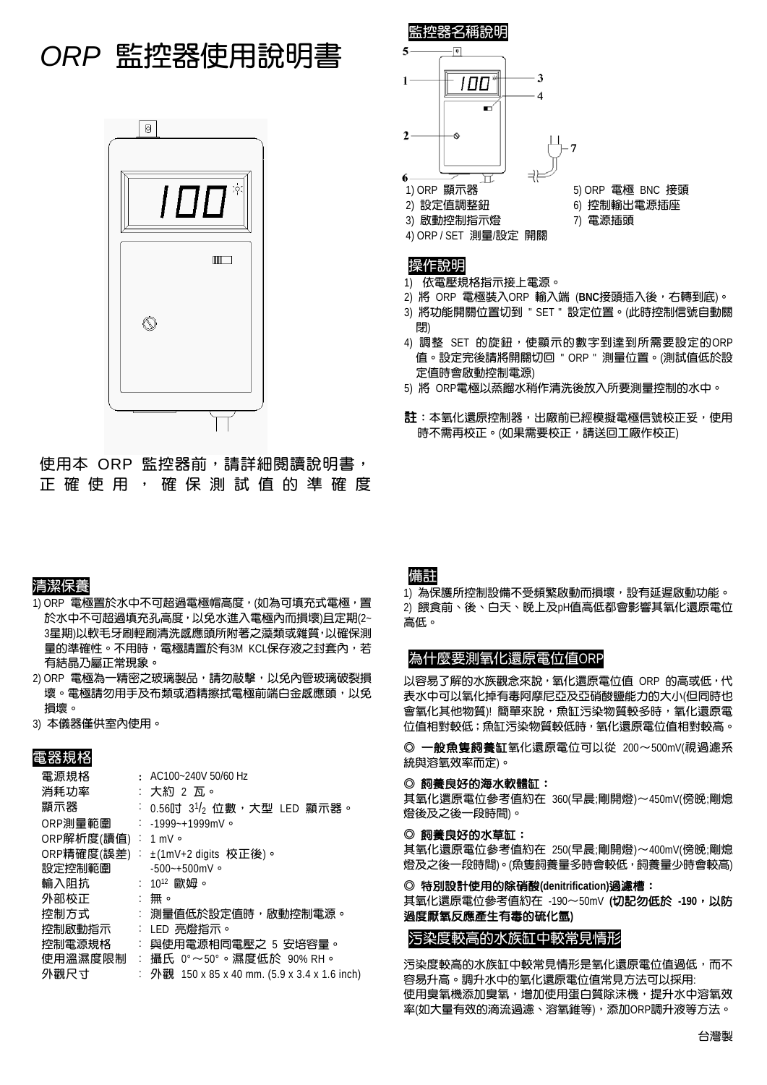# *ORP* 監控器使用說明書



使用本 ORP 監控器前,請詳細閱讀說明書, 正確使用,確保測試值的準確度

#### 清潔保養

- 1) ORP 電極置於水中不可超過電極帽高度, (如為可填充式電極, 置 於水中不可超過填充孔高度,以免水進入電極內而損壞)且定期(2~ 3星期)以軟毛牙刷輕刷清洗感應頭所附著之藻類或雜質,以確保測 量的準確性。不用時,電極請置於有3M KCL保存液之封套內,若 有結晶乃屬正常現象。
- 2) ORP 電極為一精密之玻璃製品,請勿敲擊,以免內管玻璃破裂損 壞。電極請勿用手及布類或酒精擦拭電極前端白金感應頭,以免 損壞。
- 3) 本儀器僅供室內使用。

### 電器規格

| 電源規格               |    | $\cdot$ AC100~240V 50/60 Hz                   |
|--------------------|----|-----------------------------------------------|
| 消耗功率               |    | : 大約 2 瓦。                                     |
| 顯示器                |    | : 0.56吋 3½ 位數,大型 LED 顯示器。                     |
| ORP測量範圍            |    | $: -1999 - +1999mV$                           |
| ORP解析度(讀值) : 1 mV。 |    |                                               |
|                    |    | ORP精確度(誤差) : ±(1mV+2 digits 校正後)。             |
| 設定控制範圍             |    | $-500 - +500$ mV 。                            |
| 輸入阻抗               |    | $:~10^{12}$ 歐妞。                               |
| 外部校正               |    | :無。                                           |
| 控制方式               |    | : 測量值低於設定值時,啟動控制電源。                           |
| 控制啟動指示             |    | : LED 亮燈指示。                                   |
| 控制電源規格             |    | 與使用電源相同電壓之 5 安培容量。                            |
| 使用溫濕度限制            | ÷. | 攝氏 0°~50°。濕度低於 90% RH。                        |
| 外觀尺寸               |    | : 外觀 150 x 85 x 40 mm. (5.9 x 3.4 x 1.6 inch) |
|                    |    |                                               |



#### 操作說明

- 1) 依電壓規格指示接上電源。
- 2) 將 ORP 電極裝入ORP 輸入端 (**BNC**接頭插入後,右轉到底)。
- 3) 將功能開關位置切到 " SET " 設定位置。(此時控制信號自動關 閉)
- 4) 調整 SET 的旋鈕,使顯示的數字到達到所需要設定的ORP 值。設定完後請將開關切回 " ORP " 測量位置。(測試值低於設 定值時會啟動控制電源)
- 5) 將 ORP電極以蒸餾水稍作清洗後放入所要測量控制的水中。
- **註**:本氧化還原控制器,出廠前已經模擬電極信號校正妥,使用 時不需再校正。(如果需要校正,請送回工廠作校正)

## 備註

1) 為保護所控制設備不受頻繁啟動而損壞,設有延遲啟動功能。 2) 餵食前、後、白天、晚上及pH值高低都會影響其氧化還原電位 高低。

#### 為什麼要測氧化還原電位值ORP

以容易了解的水族觀念來說,氧化還原電位值 ORP 的高或低,代 表水中可以氧化掉有毒阿摩尼亞及亞硝酸鹽能力的大小(但同時也 會氧化其他物質)!簡單來說,魚缸污染物質較多時,氧化還原電 位值相對較低;魚缸污染物質較低時,氧化還原電位值相對較高。

◎ 一般魚隻飼養缸氧化還原電位可以從 200∼500mV(視過濾系 統與溶氧效率而定)。

#### ◎ 飼養良好的海水軟體缸:

其氧化還原電位參考值約在 360(早晨;剛開燈)∼450mV(傍晚;剛熄 燈後及之後一段時間)。

#### ◎ 飼養良好的水草缸:

其氧化還原電位參考值約在 250(早晨;剛開燈)∼400mV(傍晚;剛熄 燈及之後一段時間)。(魚隻飼養量多時會較低,飼養量少時會較高)

#### ◎ 特別設計使用的除硝酸**(denitrification)**過濾槽:

其氧化還原電位參考值約在 -190∼50mV **(**切記勿低於 **-190**,以防 過度厭氧反應產生有毒的硫化氫**)** 

### 污染度較高的水族缸中較常見情形

污染度較高的水族缸中較常見情形是氧化還原電位值過低,而不 容易升高。調升水中的氧化還原電位值常見方法可以採用: 使用臭氧機添加臭氧,增加使用蛋白質除沫機,提升水中溶氧效 率(如大量有效的滴流過濾、溶氧錐等),添加ORP調升液等方法。